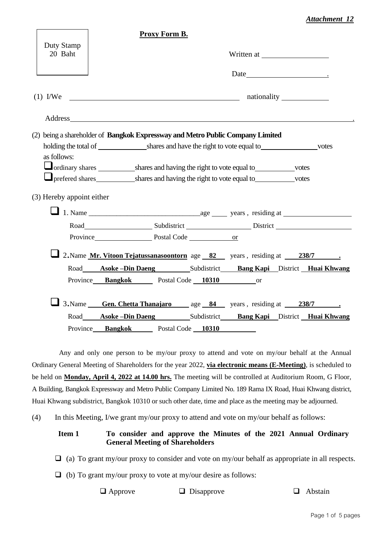#### *Attachment 12*

|                           | <b>Proxy Form B.</b>                                                           |  |  |  |
|---------------------------|--------------------------------------------------------------------------------|--|--|--|
| Duty Stamp<br>20 Baht     |                                                                                |  |  |  |
|                           |                                                                                |  |  |  |
|                           | (1) I/We nationality                                                           |  |  |  |
|                           | Address                                                                        |  |  |  |
|                           | (2) being a shareholder of Bangkok Expressway and Metro Public Company Limited |  |  |  |
|                           | holding the total of shares and have the right to vote equal to votes          |  |  |  |
| as follows:               |                                                                                |  |  |  |
|                           |                                                                                |  |  |  |
|                           |                                                                                |  |  |  |
| (3) Hereby appoint either |                                                                                |  |  |  |
|                           |                                                                                |  |  |  |
|                           |                                                                                |  |  |  |
|                           |                                                                                |  |  |  |
|                           | Province Postal Code or                                                        |  |  |  |
|                           | 2. Name $Mr. Vitoon Tejatussanasoontorn age_82$ years, residing at $238/7$ .   |  |  |  |
|                           | Road Asoke - Din Daeng Subdistrict Bang Kapi District Huai Khwang              |  |  |  |
|                           | Province Bangkok Postal Code 10310 or                                          |  |  |  |
|                           | 3. Name Gen. Chetta Thanajaro age 84 years, residing at 238/7 .                |  |  |  |
|                           | Road Asoke - Din Daeng Subdistrict Bang Kapi District Huai Khwang              |  |  |  |
|                           | Province Bangkok Postal Code 10310                                             |  |  |  |

Any and only one person to be my/our proxy to attend and vote on my/our behalf at the Annual Ordinary General Meeting of Shareholders for the year 2022, **via electronic means (E-Meeting)**, is scheduled to be held on **Monday, April 4, 2022 at 14.00 hrs.** The meeting will be controlled at Auditorium Room, G Floor, A Building, Bangkok Expressway and Metro Public Company Limited No. 189 Rama IX Road, Huai Khwang district, Huai Khwang subdistrict, Bangkok 10310 or such other date, time and place as the meeting may be adjourned.

(4) In this Meeting, I/we grant my/our proxy to attend and vote on my/our behalf as follows:

### **Item 1 To consider and approve the Minutes of the 2021 Annual Ordinary General Meeting of Shareholders**

- $\Box$  (a) To grant my/our proxy to consider and vote on my/our behalf as appropriate in all respects.
- $\Box$  (b) To grant my/our proxy to vote at my/our desire as follows:

❑ Approve ❑ Disapprove ❑ Abstain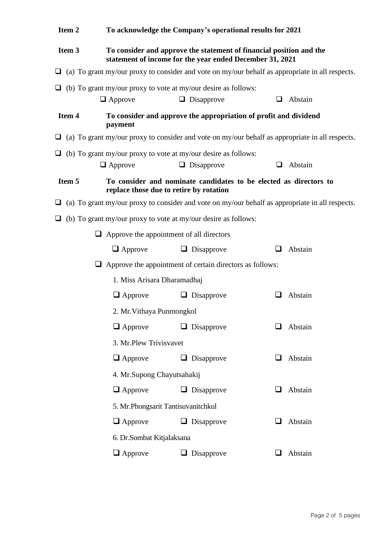| Item 2            |                                                                                                        | To acknowledge the Company's operational results for 2021<br>To consider and approve the statement of financial position and the<br>statement of income for the year ended December 31, 2021 |                                                                                                        |  |  |  |
|-------------------|--------------------------------------------------------------------------------------------------------|----------------------------------------------------------------------------------------------------------------------------------------------------------------------------------------------|--------------------------------------------------------------------------------------------------------|--|--|--|
| Item <sub>3</sub> |                                                                                                        |                                                                                                                                                                                              |                                                                                                        |  |  |  |
|                   | $\Box$ (a) To grant my/our proxy to consider and vote on my/our behalf as appropriate in all respects. |                                                                                                                                                                                              |                                                                                                        |  |  |  |
|                   |                                                                                                        | (b) To grant my/our proxy to vote at my/our desire as follows:                                                                                                                               |                                                                                                        |  |  |  |
|                   | $\Box$ Approve                                                                                         | $\Box$ Disapprove                                                                                                                                                                            | Abstain<br>❏                                                                                           |  |  |  |
| Item 4            | payment                                                                                                | To consider and approve the appropriation of profit and dividend                                                                                                                             |                                                                                                        |  |  |  |
|                   |                                                                                                        |                                                                                                                                                                                              | $\Box$ (a) To grant my/our proxy to consider and vote on my/our behalf as appropriate in all respects. |  |  |  |
|                   |                                                                                                        | $\Box$ (b) To grant my/our proxy to vote at my/our desire as follows:                                                                                                                        |                                                                                                        |  |  |  |
|                   | $\Box$ Approve                                                                                         | $\Box$ Disapprove                                                                                                                                                                            | Abstain<br>❏                                                                                           |  |  |  |
| Item 5            |                                                                                                        | To consider and nominate candidates to be elected as directors to<br>replace those due to retire by rotation                                                                                 |                                                                                                        |  |  |  |
| ⊔                 |                                                                                                        |                                                                                                                                                                                              | (a) To grant my/our proxy to consider and vote on my/our behalf as appropriate in all respects.        |  |  |  |
| ⊔                 |                                                                                                        | (b) To grant my/our proxy to vote at my/our desire as follows:                                                                                                                               |                                                                                                        |  |  |  |
|                   |                                                                                                        | Approve the appointment of all directors                                                                                                                                                     |                                                                                                        |  |  |  |
|                   | $\Box$ Approve                                                                                         | $\Box$ Disapprove                                                                                                                                                                            | Abstain<br>❏                                                                                           |  |  |  |
|                   |                                                                                                        | $\Box$ Approve the appointment of certain directors as follows:                                                                                                                              |                                                                                                        |  |  |  |
|                   | 1. Miss Arisara Dharamadhaj                                                                            |                                                                                                                                                                                              |                                                                                                        |  |  |  |
|                   | $\Box$ Approve                                                                                         | $\Box$ Disapprove                                                                                                                                                                            | Abstain<br>ப                                                                                           |  |  |  |
|                   |                                                                                                        | 2. Mr. Vithaya Punmongkol                                                                                                                                                                    |                                                                                                        |  |  |  |
|                   | $\Box$ Approve                                                                                         | $\Box$ Disapprove                                                                                                                                                                            | Abstain                                                                                                |  |  |  |
|                   | 3. Mr.Plew Trivisvavet                                                                                 |                                                                                                                                                                                              |                                                                                                        |  |  |  |
|                   | $\Box$ Approve                                                                                         | Disapprove                                                                                                                                                                                   | Abstain<br>⊔                                                                                           |  |  |  |
|                   | 4. Mr.Supong Chayutsahakij                                                                             |                                                                                                                                                                                              |                                                                                                        |  |  |  |
|                   | $\Box$ Approve                                                                                         | $\Box$ Disapprove                                                                                                                                                                            | Abstain<br>ப                                                                                           |  |  |  |
|                   |                                                                                                        | 5. Mr.Phongsarit Tantisuvanitchkul                                                                                                                                                           |                                                                                                        |  |  |  |
|                   | $\Box$ Approve                                                                                         | Disapprove                                                                                                                                                                                   | Abstain<br>$\overline{\phantom{a}}$                                                                    |  |  |  |
|                   | 6. Dr.Sombat Kitjalaksana                                                                              |                                                                                                                                                                                              |                                                                                                        |  |  |  |
|                   | $\Box$ Approve                                                                                         | $\Box$ Disapprove                                                                                                                                                                            | Abstain<br>⊔                                                                                           |  |  |  |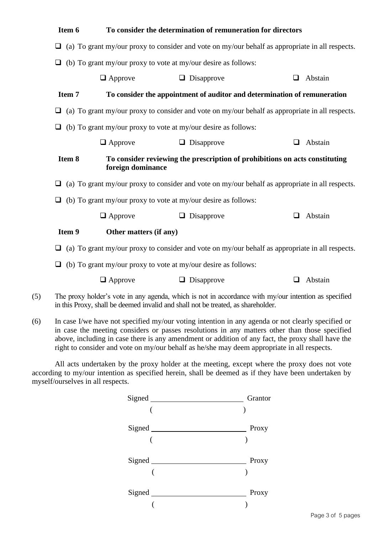### **Item 6 To consider the determination of remuneration for directors**

- $\Box$  (a) To grant my/our proxy to consider and vote on my/our behalf as appropriate in all respects.
- $\Box$  (b) To grant my/our proxy to vote at my/our desire as follows:

❑ Approve ❑ Disapprove ❑ Abstain

## **Item 7 To consider the appointment of auditor and determination of remuneration**

- $\Box$  (a) To grant my/our proxy to consider and vote on my/our behalf as appropriate in all respects.
- $\Box$  (b) To grant my/our proxy to vote at my/our desire as follows:

❑ Approve ❑ Disapprove ❑ Abstain

## **Item 8 To consider reviewing the prescription of prohibitions on acts constituting foreign dominance**

- $\Box$  (a) To grant my/our proxy to consider and vote on my/our behalf as appropriate in all respects.
- $\Box$  (b) To grant my/our proxy to vote at my/our desire as follows:

❑ Approve ❑ Disapprove ❑ Abstain

#### **Item 9 Other matters (if any)**

- $\Box$  (a) To grant my/our proxy to consider and vote on my/our behalf as appropriate in all respects.
- $\Box$  (b) To grant my/our proxy to vote at my/our desire as follows:

❑ Approve ❑ Disapprove ❑ Abstain

- (5) The proxy holder's vote in any agenda, which is not in accordance with my/our intention as specified in this Proxy, shall be deemed invalid and shall not be treated, as shareholder.
- (6) In case I/we have not specified my/our voting intention in any agenda or not clearly specified or in case the meeting considers or passes resolutions in any matters other than those specified above, including in case there is any amendment or addition of any fact, the proxy shall have the right to consider and vote on my/our behalf as he/she may deem appropriate in all respects.

All acts undertaken by the proxy holder at the meeting, except where the proxy does not vote according to my/our intention as specified herein, shall be deemed as if they have been undertaken by myself/ourselves in all respects.

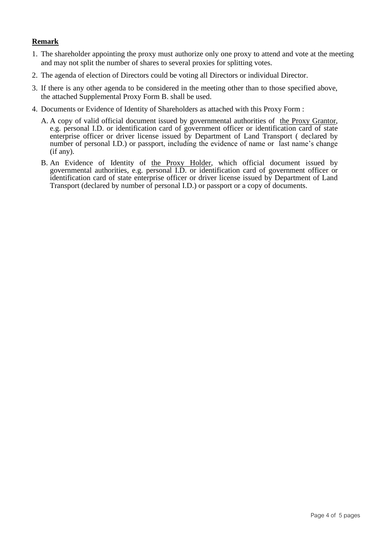# **Remark**

- 1. The shareholder appointing the proxy must authorize only one proxy to attend and vote at the meeting and may not split the number of shares to several proxies for splitting votes.
- 2. The agenda of election of Directors could be voting all Directors or individual Director.
- 3. If there is any other agenda to be considered in the meeting other than to those specified above, the attached Supplemental Proxy Form B. shall be used.
- 4. Documents or Evidence of Identity of Shareholders as attached with this Proxy Form :
	- A. A copy of valid official document issued by governmental authorities of the Proxy Grantor, e.g. personal I.D. or identification card of government officer or identification card of state enterprise officer or driver license issued by Department of Land Transport ( declared by number of personal I.D.) or passport, including the evidence of name or last name's change (if any).
	- B. An Evidence of Identity of the Proxy Holder, which official document issued by governmental authorities, e.g. personal I.D. or identification card of government officer or identification card of state enterprise officer or driver license issued by Department of Land Transport (declared by number of personal I.D.) or passport or a copy of documents.